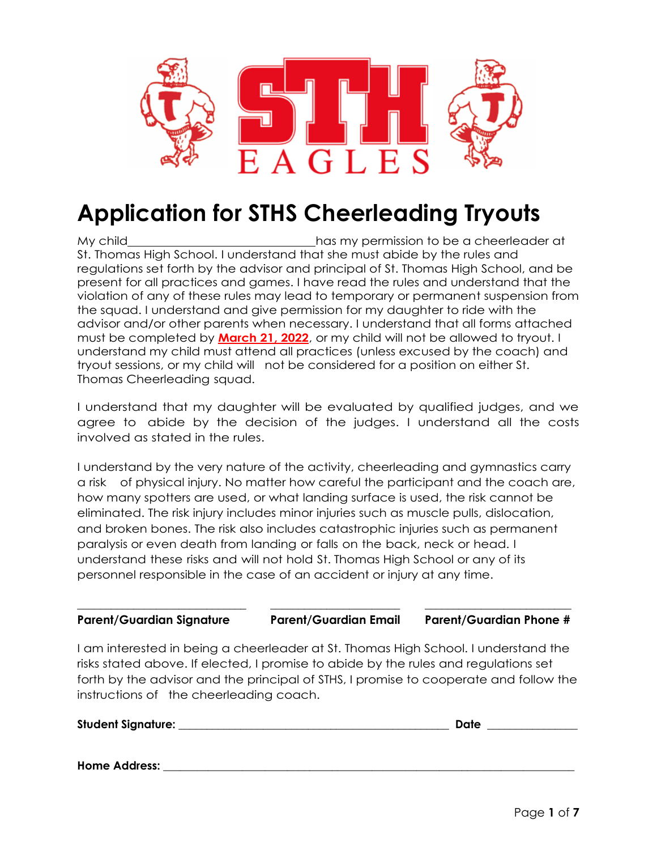

# **Application for STHS Cheerleading Tryouts**

My child has my permission to be a cheerleader at has my permission to be a cheerleader at St. Thomas High School. I understand that she must abide by the rules and regulations set forth by the advisor and principal of St. Thomas High School, and be present for all practices and games. I have read the rules and understand that the violation of any of these rules may lead to temporary or permanent suspension from the squad. I understand and give permission for my daughter to ride with the advisor and/or other parents when necessary. I understand that all forms attached must be completed by **March 21, 2022**, or my child will not be allowed to tryout. I understand my child must attend all practices (unless excused by the coach) and tryout sessions, or my child will not be considered for a position on either St. Thomas Cheerleading squad.

I understand that my daughter will be evaluated by qualified judges, and we agree to abide by the decision of the judges. I understand all the costs involved as stated in the rules.

I understand by the very nature of the activity, cheerleading and gymnastics carry a risk of physical injury. No matter how careful the participant and the coach are, how many spotters are used, or what landing surface is used, the risk cannot be eliminated. The risk injury includes minor injuries such as muscle pulls, dislocation, and broken bones. The risk also includes catastrophic injuries such as permanent paralysis or even death from landing or falls on the back, neck or head. I understand these risks and will not hold St. Thomas High School or any of its personnel responsible in the case of an accident or injury at any time.

#### \_\_\_\_\_\_\_\_\_\_\_\_\_\_\_\_\_\_\_\_\_\_\_\_\_\_\_\_\_\_ \_\_\_\_\_\_\_\_\_\_\_\_\_\_\_\_\_\_\_\_\_\_\_ \_\_\_\_\_\_\_\_\_\_\_\_\_\_\_\_\_\_\_\_\_\_\_\_\_\_ **Parent/Guardian Signature Parent/Guardian Email Parent/Guardian Phone #**

I am interested in being a cheerleader at St. Thomas High School. I understand the risks stated above. If elected, I promise to abide by the rules and regulations set forth by the advisor and the principal of STHS, I promise to cooperate and follow the instructions of the cheerleading coach.

#### **Student Signature:** \_\_\_\_\_\_\_\_\_\_\_\_\_\_\_\_\_\_\_\_\_\_\_\_\_\_\_\_\_\_\_\_\_\_\_\_\_\_\_\_\_\_\_\_\_\_\_\_ **Date** \_\_\_\_\_\_\_\_\_\_\_\_\_\_\_\_

**Home Address:** <u>and the set of the set of the set of the set of the set of the set of the set of the set of the set of the set of the set of the set of the set of the set of the set of the set of the set of the set of the</u>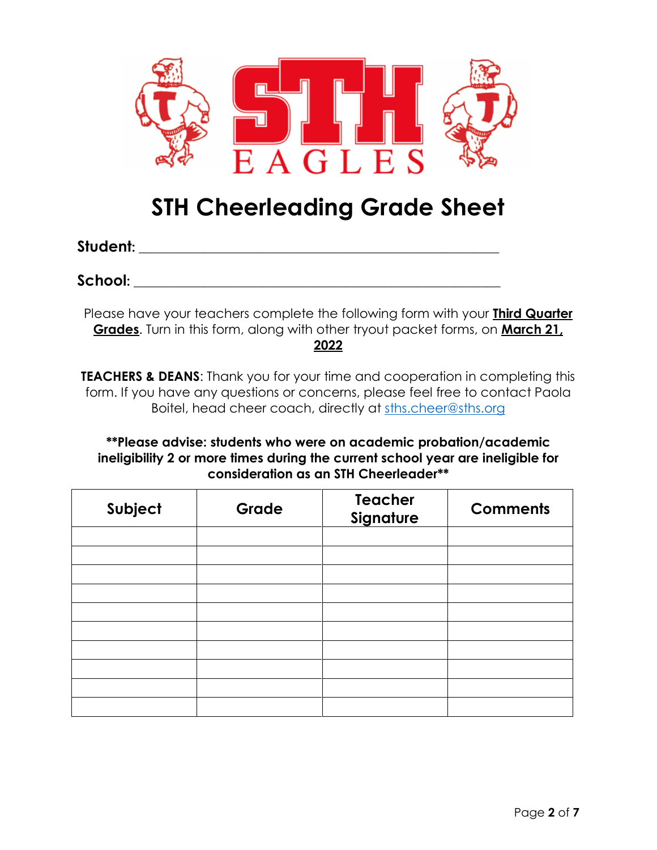

## **STH Cheerleading Grade Sheet**

**Student:** \_\_\_\_\_\_\_\_\_\_\_\_\_\_\_\_\_\_\_\_\_\_\_\_\_\_\_\_\_\_\_\_\_\_\_\_\_\_\_\_\_\_\_\_\_\_\_\_\_\_\_\_\_\_\_\_

**School:** \_\_\_\_\_\_\_\_\_\_\_\_\_\_\_\_\_\_\_\_\_\_\_\_\_\_\_\_\_\_\_\_\_\_\_\_\_\_\_\_\_\_\_\_\_\_\_\_\_\_\_\_\_\_\_\_\_

Please have your teachers complete the following form with your **Third Quarter Grades**. Turn in this form, along with other tryout packet forms, on **March 21, 2022**

**TEACHERS & DEANS:** Thank you for your time and cooperation in completing this form. If you have any questions or concerns, please feel free to contact Paola Boitel, head cheer coach, directly at [sths.cheer@sths.org](mailto:sths.cheer@sths.org)

**\*\*Please advise: students who were on academic probation/academic ineligibility 2 or more times during the current school year are ineligible for consideration as an STH Cheerleader\*\***

| Subject | Grade | <b>Teacher</b><br>Signature | <b>Comments</b> |
|---------|-------|-----------------------------|-----------------|
|         |       |                             |                 |
|         |       |                             |                 |
|         |       |                             |                 |
|         |       |                             |                 |
|         |       |                             |                 |
|         |       |                             |                 |
|         |       |                             |                 |
|         |       |                             |                 |
|         |       |                             |                 |
|         |       |                             |                 |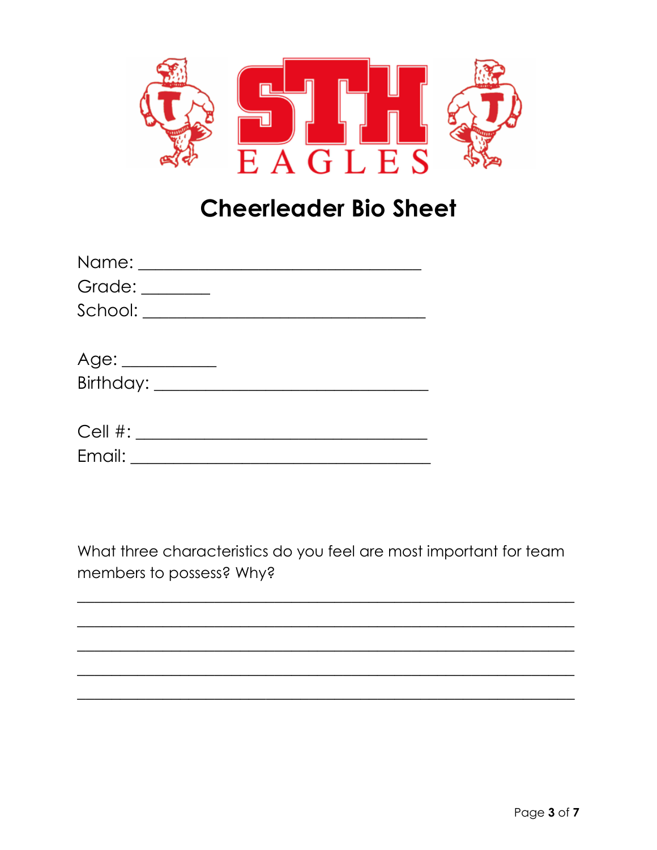

# **Cheerleader Bio Sheet**

| Grade: ________ |  |
|-----------------|--|
|                 |  |
|                 |  |
| Age: __________ |  |
|                 |  |
|                 |  |
|                 |  |
|                 |  |

What three characteristics do you feel are most important for team members to possess? Why?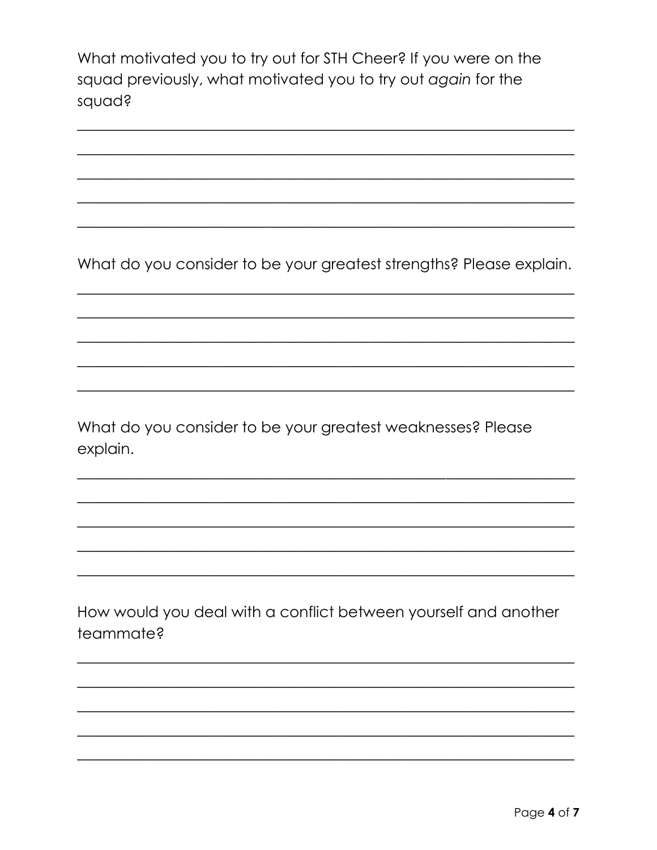What motivated you to try out for STH Cheer? If you were on the squad previously, what motivated you to try out again for the squad?

What do you consider to be your greatest strengths? Please explain.

What do you consider to be your greatest weaknesses? Please explain.

How would you deal with a conflict between yourself and another teammate?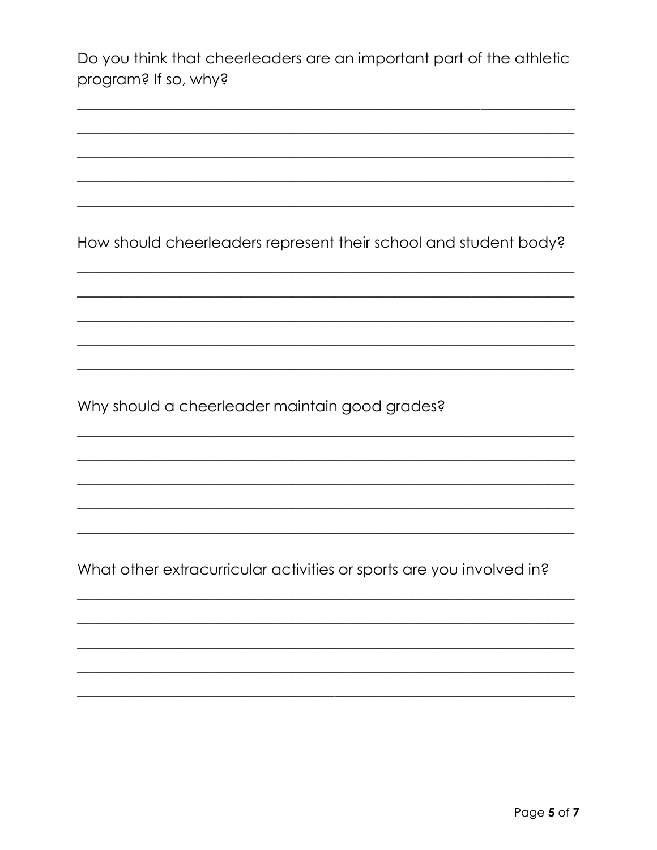|                      | Do you think that cheerleaders are an important part of the athletic |
|----------------------|----------------------------------------------------------------------|
| program? If so, why? |                                                                      |

How should cheerleaders represent their school and student body?

Why should a cheerleader maintain good grades?

What other extracurricular activities or sports are you involved in?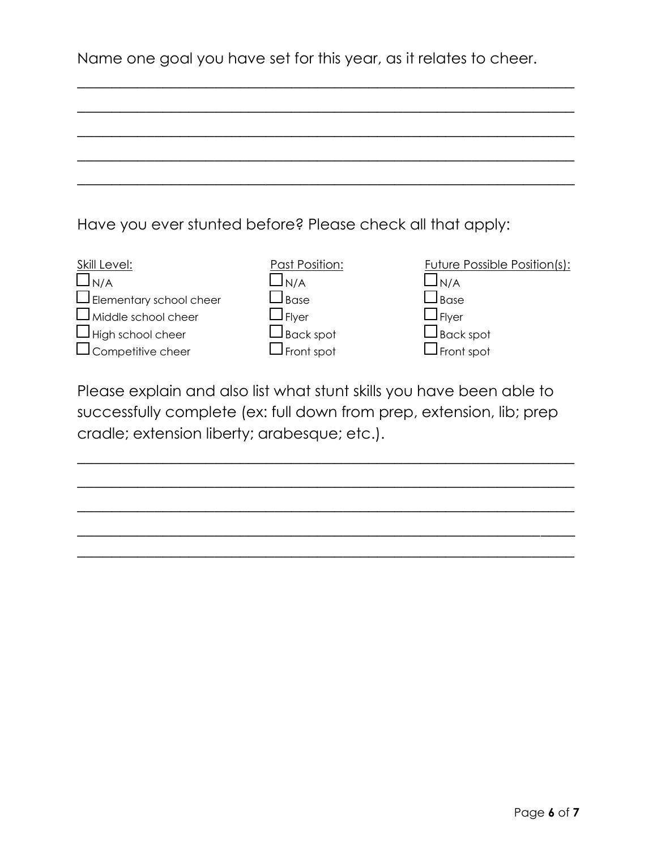|  | Name one goal you have set for this year, as it relates to cheer. |  |
|--|-------------------------------------------------------------------|--|
|--|-------------------------------------------------------------------|--|

\_\_\_\_\_\_\_\_\_\_\_\_\_\_\_\_\_\_\_\_\_\_\_\_\_\_\_\_\_\_\_\_\_\_\_\_\_\_\_\_\_\_\_\_\_\_\_\_\_\_\_\_\_\_\_\_\_\_

\_\_\_\_\_\_\_\_\_\_\_\_\_\_\_\_\_\_\_\_\_\_\_\_\_\_\_\_\_\_\_\_\_\_\_\_\_\_\_\_\_\_\_\_\_\_\_\_\_\_\_\_\_\_\_\_\_\_

Have you ever stunted before? Please check all that apply:

| Skill Level:                   | Past Position:                      | <b>Future Possible Position(s):</b> |
|--------------------------------|-------------------------------------|-------------------------------------|
| $\Box_{N/A}$                   | JN/A                                | ⊿N/A                                |
| $\Box$ Elementary school cheer | $\sf J$ Base                        | $\sqcup$ Base                       |
| $\Box$ Middle school cheer     | $\sqcup$ Flyer                      | $\Box$ Flyer                        |
| $\Box$ High school cheer       | $\mathsf{\mathcal{\bot}}$ Back spot | $\Box$ Back spot                    |
| $\Box$ Competitive cheer       | $\mathsf{\mathsf{I}}$ Front spot    | $\mathsf{\mathcal{I}}$ Front spot   |

Please explain and also list what stunt skills you have been able to successfully complete (ex: full down from prep, extension, lib; prep cradle; extension liberty; arabesque; etc.).

\_\_\_\_\_\_\_\_\_\_\_\_\_\_\_\_\_\_\_\_\_\_\_\_\_\_\_\_\_\_\_\_\_\_\_\_\_\_\_\_\_\_\_\_\_\_\_\_\_\_\_\_\_\_\_\_\_\_

 $\overline{\phantom{a}}$  , and the contribution of the contribution of the contribution of the contribution of the contribution of the contribution of the contribution of the contribution of the contribution of the contribution of the

 $\overline{\phantom{a}}$  , and the contribution of the contribution of the contribution of the contribution of the contribution of the contribution of the contribution of the contribution of the contribution of the contribution of the

\_\_\_\_\_\_\_\_\_\_\_\_\_\_\_\_\_\_\_\_\_\_\_\_\_\_\_\_\_\_\_\_\_\_\_\_\_\_\_\_\_\_\_\_\_\_\_\_\_\_\_\_\_\_\_\_\_\_  $\overline{\phantom{a}}$  , and the contribution of the contribution of the contribution of the contribution of the contribution of the contribution of the contribution of the contribution of the contribution of the contribution of the